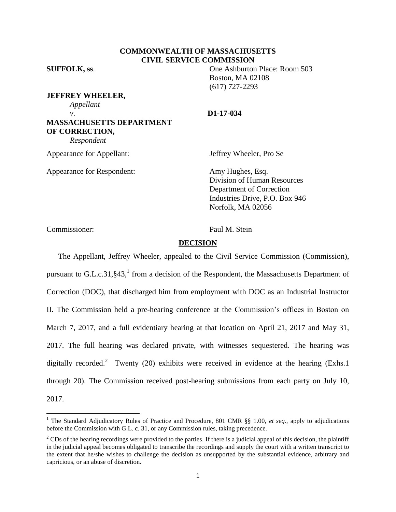## **COMMONWEALTH OF MASSACHUSETTS CIVIL SERVICE COMMISSION**

**SUFFOLK, ss**. One Ashburton Place: Room 503 Boston, MA 02108 (617) 727-2293

**JEFFREY WHEELER,** *Appellant v*. **D1-17-034 MASSACHUSETTS DEPARTMENT OF CORRECTION,**

*Respondent*

Appearance for Appellant: Jeffrey Wheeler, Pro Se

Appearance for Respondent: Amy Hughes, Esq.

Division of Human Resources Department of Correction Industries Drive, P.O. Box 946 Norfolk, MA 02056

Commissioner: Paul M. Stein

 $\overline{\phantom{a}}$ 

#### **DECISION**

The Appellant, Jeffrey Wheeler, appealed to the Civil Service Commission (Commission), pursuant to G.L.c.31, §43,<sup>1</sup> from a decision of the Respondent, the Massachusetts Department of Correction (DOC), that discharged him from employment with DOC as an Industrial Instructor II. The Commission held a pre-hearing conference at the Commission's offices in Boston on March 7, 2017, and a full evidentiary hearing at that location on April 21, 2017 and May 31, 2017. The full hearing was declared private, with witnesses sequestered. The hearing was digitally recorded.<sup>2</sup> Twenty (20) exhibits were received in evidence at the hearing (Exhs.1) through 20). The Commission received post-hearing submissions from each party on July 10, 2017.

<sup>&</sup>lt;sup>1</sup> The Standard Adjudicatory Rules of Practice and Procedure, 801 CMR §§ 1.00, *et seq.*, apply to adjudications before the Commission with G.L. c. 31, or any Commission rules, taking precedence.

 $2^2$ CDs of the hearing recordings were provided to the parties. If there is a judicial appeal of this decision, the plaintiff in the judicial appeal becomes obligated to transcribe the recordings and supply the court with a written transcript to the extent that he/she wishes to challenge the decision as unsupported by the substantial evidence, arbitrary and capricious, or an abuse of discretion.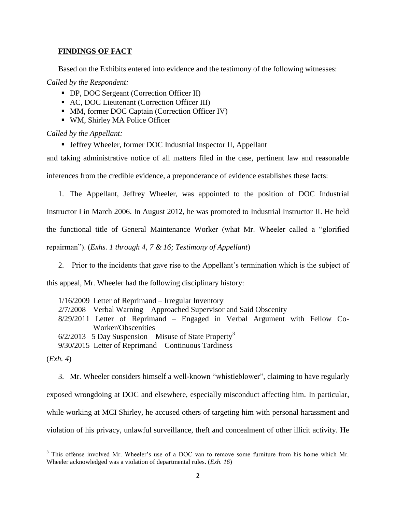# **FINDINGS OF FACT**

Based on the Exhibits entered into evidence and the testimony of the following witnesses:

*Called by the Respondent:*

- DP, DOC Sergeant (Correction Officer II)
- AC, DOC Lieutenant (Correction Officer III)
- MM, former DOC Captain (Correction Officer IV)
- WM, Shirley MA Police Officer

*Called by the Appellant:*

■ Jeffrey Wheeler, former DOC Industrial Inspector II, Appellant

and taking administrative notice of all matters filed in the case, pertinent law and reasonable inferences from the credible evidence, a preponderance of evidence establishes these facts:

- 1. The Appellant, Jeffrey Wheeler, was appointed to the position of DOC Industrial Instructor I in March 2006. In August 2012, he was promoted to Industrial Instructor II. He held the functional title of General Maintenance Worker (what Mr. Wheeler called a "glorified repairman"). (*Exhs. 1 through 4, 7 & 16; Testimony of Appellant*)
	- 2. Prior to the incidents that gave rise to the Appellant's termination which is the subject of

this appeal, Mr. Wheeler had the following disciplinary history:

1/16/2009 Letter of Reprimand – Irregular Inventory 2/7/2008 Verbal Warning – Approached Supervisor and Said Obscenity 8/29/2011 Letter of Reprimand – Engaged in Verbal Argument with Fellow Co-Worker/Obscenities  $6/2/2013$  5 Day Suspension – Misuse of State Property<sup>3</sup> 9/30/2015 Letter of Reprimand – Continuous Tardiness

(*Exh. 4*)

 $\overline{\phantom{a}}$ 

3. Mr. Wheeler considers himself a well-known "whistleblower", claiming to have regularly exposed wrongdoing at DOC and elsewhere, especially misconduct affecting him. In particular, while working at MCI Shirley, he accused others of targeting him with personal harassment and violation of his privacy, unlawful surveillance, theft and concealment of other illicit activity. He

 $3$  This offense involved Mr. Wheeler's use of a DOC van to remove some furniture from his home which Mr. Wheeler acknowledged was a violation of departmental rules. (*Exh. 16*)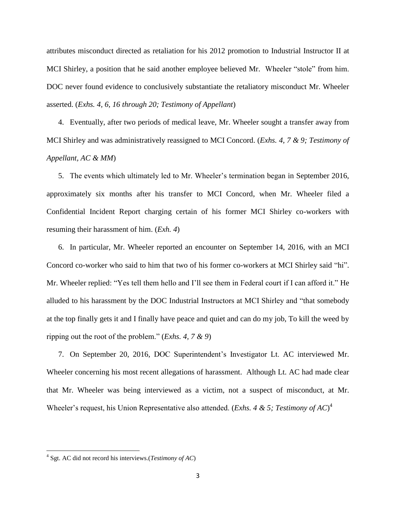attributes misconduct directed as retaliation for his 2012 promotion to Industrial Instructor II at MCI Shirley, a position that he said another employee believed Mr. Wheeler "stole" from him. DOC never found evidence to conclusively substantiate the retaliatory misconduct Mr. Wheeler asserted. (*Exhs. 4, 6, 16 through 20; Testimony of Appellant*)

4. Eventually, after two periods of medical leave, Mr. Wheeler sought a transfer away from MCI Shirley and was administratively reassigned to MCI Concord. (*Exhs. 4, 7 & 9; Testimony of Appellant, AC & MM*)

5. The events which ultimately led to Mr. Wheeler's termination began in September 2016, approximately six months after his transfer to MCI Concord, when Mr. Wheeler filed a Confidential Incident Report charging certain of his former MCI Shirley co-workers with resuming their harassment of him. (*Exh. 4*)

6. In particular, Mr. Wheeler reported an encounter on September 14, 2016, with an MCI Concord co-worker who said to him that two of his former co-workers at MCI Shirley said "hi". Mr. Wheeler replied: "Yes tell them hello and I'll see them in Federal court if I can afford it." He alluded to his harassment by the DOC Industrial Instructors at MCI Shirley and "that somebody at the top finally gets it and I finally have peace and quiet and can do my job, To kill the weed by ripping out the root of the problem." (*Exhs. 4, 7 & 9*)

7. On September 20, 2016, DOC Superintendent's Investigator Lt. AC interviewed Mr. Wheeler concerning his most recent allegations of harassment. Although Lt. AC had made clear that Mr. Wheeler was being interviewed as a victim, not a suspect of misconduct, at Mr. Wheeler's request, his Union Representative also attended. (*Exhs. 4 & 5; Testimony of AC*) 4

 $\overline{a}$ 

<sup>4</sup> Sgt. AC did not record his interviews.(*Testimony of AC*)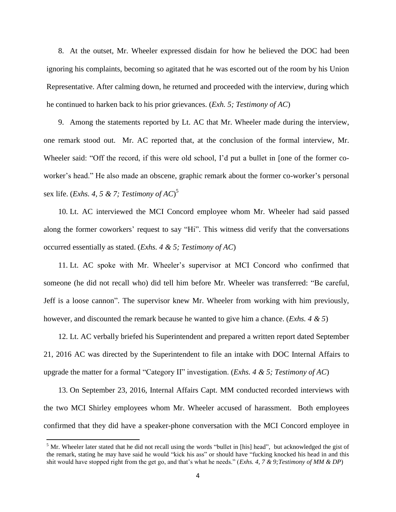8. At the outset, Mr. Wheeler expressed disdain for how he believed the DOC had been ignoring his complaints, becoming so agitated that he was escorted out of the room by his Union Representative. After calming down, he returned and proceeded with the interview, during which he continued to harken back to his prior grievances. (*Exh. 5; Testimony of AC*)

9. Among the statements reported by Lt. AC that Mr. Wheeler made during the interview, one remark stood out. Mr. AC reported that, at the conclusion of the formal interview, Mr. Wheeler said: "Off the record, if this were old school, I'd put a bullet in [one of the former coworker's head." He also made an obscene, graphic remark about the former co-worker's personal sex life. (*Exhs. 4, 5 & 7; Testimony of AC*) 5

10. Lt. AC interviewed the MCI Concord employee whom Mr. Wheeler had said passed along the former coworkers' request to say "Hi". This witness did verify that the conversations occurred essentially as stated. (*Exhs. 4 & 5; Testimony of AC*)

11. Lt. AC spoke with Mr. Wheeler's supervisor at MCI Concord who confirmed that someone (he did not recall who) did tell him before Mr. Wheeler was transferred: "Be careful, Jeff is a loose cannon". The supervisor knew Mr. Wheeler from working with him previously, however, and discounted the remark because he wanted to give him a chance. (*Exhs. 4 & 5*)

12. Lt. AC verbally briefed his Superintendent and prepared a written report dated September 21, 2016 AC was directed by the Superintendent to file an intake with DOC Internal Affairs to upgrade the matter for a formal "Category II" investigation. (*Exhs. 4 & 5; Testimony of AC*)

13. On September 23, 2016, Internal Affairs Capt. MM conducted recorded interviews with the two MCI Shirley employees whom Mr. Wheeler accused of harassment. Both employees confirmed that they did have a speaker-phone conversation with the MCI Concord employee in

 $\overline{\phantom{a}}$ 

 $<sup>5</sup>$  Mr. Wheeler later stated that he did not recall using the words "bullet in [his] head", but acknowledged the gist of</sup> the remark, stating he may have said he would "kick his ass" or should have "fucking knocked his head in and this shit would have stopped right from the get go, and that's what he needs." (*Exhs. 4, 7 & 9;Testimony of MM & DP*)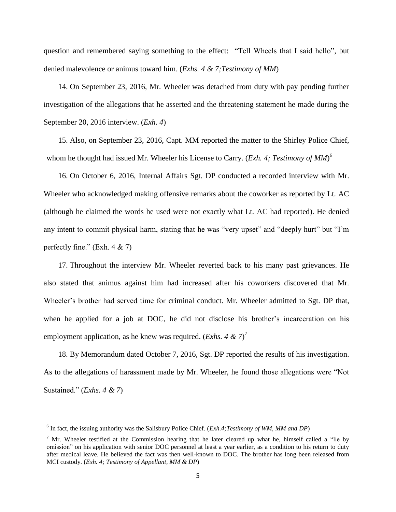question and remembered saying something to the effect: "Tell Wheels that I said hello", but denied malevolence or animus toward him. (*Exhs. 4 & 7;Testimony of MM*)

14. On September 23, 2016, Mr. Wheeler was detached from duty with pay pending further investigation of the allegations that he asserted and the threatening statement he made during the September 20, 2016 interview. (*Exh. 4*)

15. Also, on September 23, 2016, Capt. MM reported the matter to the Shirley Police Chief, whom he thought had issued Mr. Wheeler his License to Carry. (*Exh. 4; Testimony of MM*) 6

16. On October 6, 2016, Internal Affairs Sgt. DP conducted a recorded interview with Mr. Wheeler who acknowledged making offensive remarks about the coworker as reported by Lt. AC (although he claimed the words he used were not exactly what Lt. AC had reported). He denied any intent to commit physical harm, stating that he was "very upset" and "deeply hurt" but "I'm perfectly fine." (Exh.  $4 \& 7$ )

17. Throughout the interview Mr. Wheeler reverted back to his many past grievances. He also stated that animus against him had increased after his coworkers discovered that Mr. Wheeler's brother had served time for criminal conduct. Mr. Wheeler admitted to Sgt. DP that, when he applied for a job at DOC, he did not disclose his brother's incarceration on his employment application, as he knew was required. (*Exhs. 4 & 7*)<sup>7</sup>

18. By Memorandum dated October 7, 2016, Sgt. DP reported the results of his investigation. As to the allegations of harassment made by Mr. Wheeler, he found those allegations were "Not Sustained." (*Exhs. 4 & 7*)

 $\overline{\phantom{a}}$ 

<sup>6</sup> In fact, the issuing authority was the Salisbury Police Chief. (*Exh.4;Testimony of WM, MM and DP*)

<sup>&</sup>lt;sup>7</sup> Mr. Wheeler testified at the Commission hearing that he later cleared up what he, himself called a "lie by omission" on his application with senior DOC personnel at least a year earlier, as a condition to his return to duty after medical leave. He believed the fact was then well-known to DOC. The brother has long been released from MCI custody. (*Exh. 4; Testimony of Appellant, MM & DP*)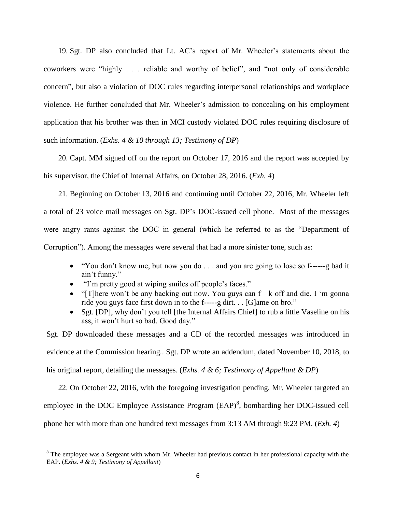19. Sgt. DP also concluded that Lt. AC's report of Mr. Wheeler's statements about the coworkers were "highly . . . reliable and worthy of belief", and "not only of considerable concern", but also a violation of DOC rules regarding interpersonal relationships and workplace violence. He further concluded that Mr. Wheeler's admission to concealing on his employment application that his brother was then in MCI custody violated DOC rules requiring disclosure of such information. (*Exhs. 4 & 10 through 13; Testimony of DP*)

20. Capt. MM signed off on the report on October 17, 2016 and the report was accepted by his supervisor, the Chief of Internal Affairs, on October 28, 2016. (*Exh. 4*)

21. Beginning on October 13, 2016 and continuing until October 22, 2016, Mr. Wheeler left a total of 23 voice mail messages on Sgt. DP's DOC-issued cell phone. Most of the messages were angry rants against the DOC in general (which he referred to as the "Department of Corruption"). Among the messages were several that had a more sinister tone, such as:

- "You don't know me, but now you do . . . and you are going to lose so f------g bad it ain't funny."
- "I'm pretty good at wiping smiles off people's faces."

 $\overline{\phantom{a}}$ 

- "[T]here won't be any backing out now. You guys can f—k off and die. I 'm gonna ride you guys face first down in to the f-----g dirt. . . [G]ame on bro."
- Sgt. [DP], why don't you tell [the Internal Affairs Chief] to rub a little Vaseline on his ass, it won't hurt so bad. Good day."

Sgt. DP downloaded these messages and a CD of the recorded messages was introduced in evidence at the Commission hearing.. Sgt. DP wrote an addendum, dated November 10, 2018, to his original report, detailing the messages. (*Exhs. 4 & 6; Testimony of Appellant & DP*)

22. On October 22, 2016, with the foregoing investigation pending, Mr. Wheeler targeted an employee in the DOC Employee Assistance Program  $(EAP)^8$ , bombarding her DOC-issued cell phone her with more than one hundred text messages from 3:13 AM through 9:23 PM. (*Exh. 4*)

 $8$  The employee was a Sergeant with whom Mr. Wheeler had previous contact in her professional capacity with the EAP. (*Exhs. 4 & 9; Testimony of Appellant*)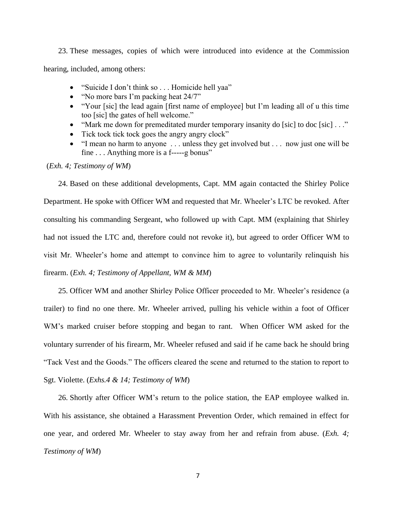23. These messages, copies of which were introduced into evidence at the Commission hearing, included, among others:

- "Suicide I don't think so . . . Homicide hell yaa"
- "No more bars I'm packing heat 24/7"
- "Your [sic] the lead again [first name of employee] but I'm leading all of u this time too [sic] the gates of hell welcome."
- "Mark me down for premeditated murder temporary insanity do [sic] to doc [sic]  $\ldots$ "
- Tick tock tick tock goes the angry angry clock"
- "I mean no harm to anyone . . . unless they get involved but . . . now just one will be fine . . . Anything more is a f-----g bonus"

(*Exh. 4; Testimony of WM*)

24. Based on these additional developments, Capt. MM again contacted the Shirley Police Department. He spoke with Officer WM and requested that Mr. Wheeler's LTC be revoked. After consulting his commanding Sergeant, who followed up with Capt. MM (explaining that Shirley had not issued the LTC and, therefore could not revoke it), but agreed to order Officer WM to visit Mr. Wheeler's home and attempt to convince him to agree to voluntarily relinquish his firearm. (*Exh. 4; Testimony of Appellant, WM & MM*)

25. Officer WM and another Shirley Police Officer proceeded to Mr. Wheeler's residence (a trailer) to find no one there. Mr. Wheeler arrived, pulling his vehicle within a foot of Officer WM's marked cruiser before stopping and began to rant. When Officer WM asked for the voluntary surrender of his firearm, Mr. Wheeler refused and said if he came back he should bring "Tack Vest and the Goods." The officers cleared the scene and returned to the station to report to Sgt. Violette. (*Exhs.4 & 14; Testimony of WM*)

26. Shortly after Officer WM's return to the police station, the EAP employee walked in. With his assistance, she obtained a Harassment Prevention Order, which remained in effect for one year, and ordered Mr. Wheeler to stay away from her and refrain from abuse. (*Exh. 4; Testimony of WM*)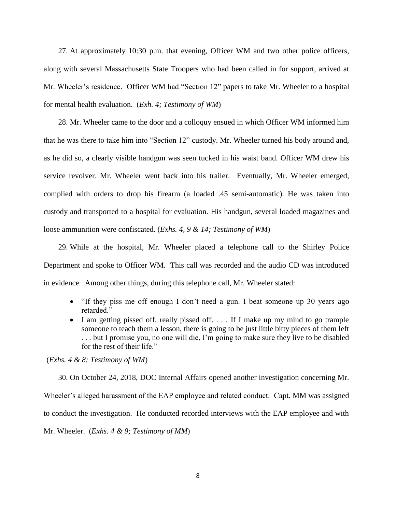27. At approximately 10:30 p.m. that evening, Officer WM and two other police officers, along with several Massachusetts State Troopers who had been called in for support, arrived at Mr. Wheeler's residence. Officer WM had "Section 12" papers to take Mr. Wheeler to a hospital for mental health evaluation. (*Exh. 4; Testimony of WM*)

28. Mr. Wheeler came to the door and a colloquy ensued in which Officer WM informed him that he was there to take him into "Section 12" custody. Mr. Wheeler turned his body around and, as he did so, a clearly visible handgun was seen tucked in his waist band. Officer WM drew his service revolver. Mr. Wheeler went back into his trailer. Eventually, Mr. Wheeler emerged, complied with orders to drop his firearm (a loaded .45 semi-automatic). He was taken into custody and transported to a hospital for evaluation. His handgun, several loaded magazines and loose ammunition were confiscated. (*Exhs. 4, 9 & 14; Testimony of WM*)

29. While at the hospital, Mr. Wheeler placed a telephone call to the Shirley Police Department and spoke to Officer WM. This call was recorded and the audio CD was introduced in evidence. Among other things, during this telephone call, Mr. Wheeler stated:

- "If they piss me off enough I don't need a gun. I beat someone up 30 years ago retarded."
- I am getting pissed off, really pissed off. . . . If I make up my mind to go trample someone to teach them a lesson, there is going to be just little bitty pieces of them left . . . but I promise you, no one will die, I'm going to make sure they live to be disabled for the rest of their life."

(*Exhs. 4 & 8; Testimony of WM*)

30. On October 24, 2018, DOC Internal Affairs opened another investigation concerning Mr. Wheeler's alleged harassment of the EAP employee and related conduct. Capt. MM was assigned to conduct the investigation. He conducted recorded interviews with the EAP employee and with Mr. Wheeler. (*Exhs. 4 & 9; Testimony of MM*)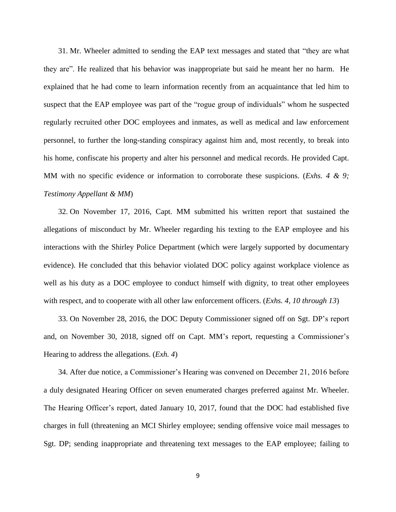31. Mr. Wheeler admitted to sending the EAP text messages and stated that "they are what they are". He realized that his behavior was inappropriate but said he meant her no harm. He explained that he had come to learn information recently from an acquaintance that led him to suspect that the EAP employee was part of the "rogue group of individuals" whom he suspected regularly recruited other DOC employees and inmates, as well as medical and law enforcement personnel, to further the long-standing conspiracy against him and, most recently, to break into his home, confiscate his property and alter his personnel and medical records. He provided Capt. MM with no specific evidence or information to corroborate these suspicions. (*Exhs. 4 & 9; Testimony Appellant & MM*)

32. On November 17, 2016, Capt. MM submitted his written report that sustained the allegations of misconduct by Mr. Wheeler regarding his texting to the EAP employee and his interactions with the Shirley Police Department (which were largely supported by documentary evidence). He concluded that this behavior violated DOC policy against workplace violence as well as his duty as a DOC employee to conduct himself with dignity, to treat other employees with respect, and to cooperate with all other law enforcement officers. (*Exhs. 4, 10 through 13*)

33. On November 28, 2016, the DOC Deputy Commissioner signed off on Sgt. DP's report and, on November 30, 2018, signed off on Capt. MM's report, requesting a Commissioner's Hearing to address the allegations. (*Exh. 4*)

34. After due notice, a Commissioner's Hearing was convened on December 21, 2016 before a duly designated Hearing Officer on seven enumerated charges preferred against Mr. Wheeler. The Hearing Officer's report, dated January 10, 2017, found that the DOC had established five charges in full (threatening an MCI Shirley employee; sending offensive voice mail messages to Sgt. DP; sending inappropriate and threatening text messages to the EAP employee; failing to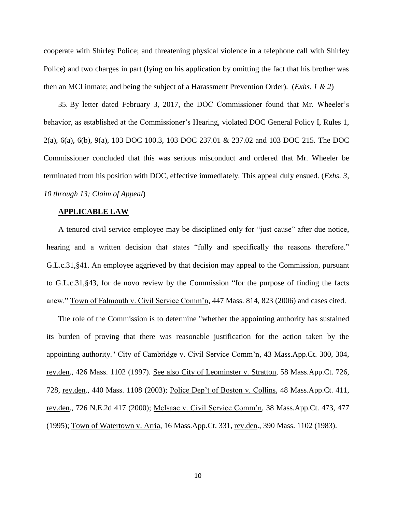cooperate with Shirley Police; and threatening physical violence in a telephone call with Shirley Police) and two charges in part (lying on his application by omitting the fact that his brother was then an MCI inmate; and being the subject of a Harassment Prevention Order). (*Exhs. 1 & 2*)

35. By letter dated February 3, 2017, the DOC Commissioner found that Mr. Wheeler's behavior, as established at the Commissioner's Hearing, violated DOC General Policy I, Rules 1, 2(a), 6(a), 6(b), 9(a), 103 DOC 100.3, 103 DOC 237.01 & 237.02 and 103 DOC 215. The DOC Commissioner concluded that this was serious misconduct and ordered that Mr. Wheeler be terminated from his position with DOC, effective immediately. This appeal duly ensued. (*Exhs. 3, 10 through 13; Claim of Appeal*)

#### **APPLICABLE LAW**

A tenured civil service employee may be disciplined only for "just cause" after due notice, hearing and a written decision that states "fully and specifically the reasons therefore." G.L.c.31,§41. An employee aggrieved by that decision may appeal to the Commission, pursuant to G.L.c.31,§43, for de novo review by the Commission "for the purpose of finding the facts anew." Town of Falmouth v. Civil Service Comm'n, 447 Mass. 814, 823 (2006) and cases cited.

The role of the Commission is to determine "whether the appointing authority has sustained its burden of proving that there was reasonable justification for the action taken by the appointing authority." City of Cambridge v. Civil Service Comm'n, 43 Mass.App.Ct. 300, 304, rev.den., 426 Mass. 1102 (1997). See also City of Leominster v. Stratton, 58 Mass.App.Ct. 726, 728, rev.den., 440 Mass. 1108 (2003); Police Dep't of Boston v. Collins, 48 Mass.App.Ct. 411, rev.den., 726 N.E.2d 417 (2000); McIsaac v. Civil Service Comm'n, 38 Mass.App.Ct. 473, 477 (1995); Town of Watertown v. Arria, 16 Mass.App.Ct. 331, rev.den., 390 Mass. 1102 (1983).

10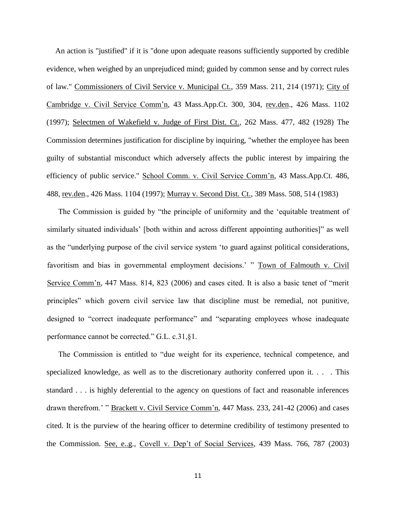An action is "justified" if it is "done upon adequate reasons sufficiently supported by credible evidence, when weighed by an unprejudiced mind; guided by common sense and by correct rules of law." Commissioners of Civil Service v. Municipal Ct., 359 Mass. 211, 214 (1971); City of Cambridge v. Civil Service Comm'n, 43 Mass.App.Ct. 300, 304, rev.den., 426 Mass. 1102 (1997); Selectmen of Wakefield v. Judge of First Dist. Ct., 262 Mass. 477, 482 (1928) The Commission determines justification for discipline by inquiring, "whether the employee has been guilty of substantial misconduct which adversely affects the public interest by impairing the efficiency of public service." School Comm. v. Civil Service Comm'n, 43 Mass.App.Ct. 486, 488, rev.den., 426 Mass. 1104 (1997); Murray v. Second Dist. Ct., 389 Mass. 508, 514 (1983)

The Commission is guided by "the principle of uniformity and the 'equitable treatment of similarly situated individuals' [both within and across different appointing authorities]" as well as the "underlying purpose of the civil service system 'to guard against political considerations, favoritism and bias in governmental employment decisions.' " Town of Falmouth v. Civil Service Comm'n, 447 Mass. 814, 823 (2006) and cases cited. It is also a basic tenet of "merit principles" which govern civil service law that discipline must be remedial, not punitive, designed to "correct inadequate performance" and "separating employees whose inadequate performance cannot be corrected." G.L. c.31,§1.

The Commission is entitled to "due weight for its experience, technical competence, and specialized knowledge, as well as to the discretionary authority conferred upon it. . . . This standard . . . is highly deferential to the agency on questions of fact and reasonable inferences drawn therefrom.' " Brackett v. Civil Service Comm'n, 447 Mass. 233, 241-42 (2006) and cases cited. It is the purview of the hearing officer to determine credibility of testimony presented to the Commission. See, e..g., Covell v. Dep't of Social Services, 439 Mass. 766, 787 (2003)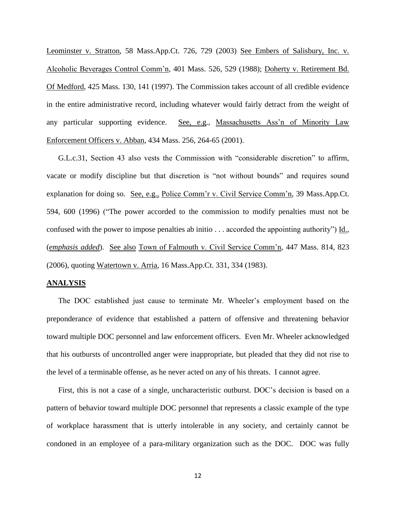Leominster v. Stratton, 58 Mass.App.Ct. 726, 729 (2003) See Embers of Salisbury, Inc. v. Alcoholic Beverages Control Comm'n, 401 Mass. 526, 529 (1988); Doherty v. Retirement Bd. Of Medford, 425 Mass. 130, 141 (1997). The Commission takes account of all credible evidence in the entire administrative record, including whatever would fairly detract from the weight of any particular supporting evidence. See, e.g., Massachusetts Ass'n of Minority Law Enforcement Officers v. Abban, 434 Mass. 256, 264-65 (2001).

G.L.c.31, Section 43 also vests the Commission with "considerable discretion" to affirm, vacate or modify discipline but that discretion is "not without bounds" and requires sound explanation for doing so. See, e.g., Police Comm'r v. Civil Service Comm'n, 39 Mass.App.Ct. 594, 600 (1996) ("The power accorded to the commission to modify penalties must not be confused with the power to impose penalties ab initio . . . accorded the appointing authority") Id., (*emphasis added*). See also Town of Falmouth v. Civil Service Comm'n, 447 Mass. 814, 823 (2006), quoting Watertown v. Arria, 16 Mass.App.Ct. 331, 334 (1983).

#### **ANALYSIS**

The DOC established just cause to terminate Mr. Wheeler's employment based on the preponderance of evidence that established a pattern of offensive and threatening behavior toward multiple DOC personnel and law enforcement officers. Even Mr. Wheeler acknowledged that his outbursts of uncontrolled anger were inappropriate, but pleaded that they did not rise to the level of a terminable offense, as he never acted on any of his threats. I cannot agree.

First, this is not a case of a single, uncharacteristic outburst. DOC's decision is based on a pattern of behavior toward multiple DOC personnel that represents a classic example of the type of workplace harassment that is utterly intolerable in any society, and certainly cannot be condoned in an employee of a para-military organization such as the DOC. DOC was fully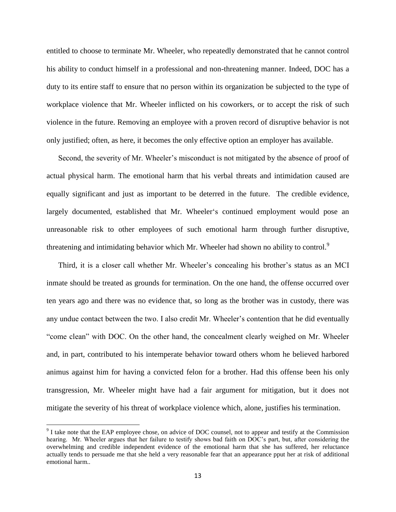entitled to choose to terminate Mr. Wheeler, who repeatedly demonstrated that he cannot control his ability to conduct himself in a professional and non-threatening manner. Indeed, DOC has a duty to its entire staff to ensure that no person within its organization be subjected to the type of workplace violence that Mr. Wheeler inflicted on his coworkers, or to accept the risk of such violence in the future. Removing an employee with a proven record of disruptive behavior is not only justified; often, as here, it becomes the only effective option an employer has available.

Second, the severity of Mr. Wheeler's misconduct is not mitigated by the absence of proof of actual physical harm. The emotional harm that his verbal threats and intimidation caused are equally significant and just as important to be deterred in the future. The credible evidence, largely documented, established that Mr. Wheeler's continued employment would pose an unreasonable risk to other employees of such emotional harm through further disruptive, threatening and intimidating behavior which Mr. Wheeler had shown no ability to control.<sup>9</sup>

Third, it is a closer call whether Mr. Wheeler's concealing his brother's status as an MCI inmate should be treated as grounds for termination. On the one hand, the offense occurred over ten years ago and there was no evidence that, so long as the brother was in custody, there was any undue contact between the two. I also credit Mr. Wheeler's contention that he did eventually "come clean" with DOC. On the other hand, the concealment clearly weighed on Mr. Wheeler and, in part, contributed to his intemperate behavior toward others whom he believed harbored animus against him for having a convicted felon for a brother. Had this offense been his only transgression, Mr. Wheeler might have had a fair argument for mitigation, but it does not mitigate the severity of his threat of workplace violence which, alone, justifies his termination.

 $\overline{a}$ 

<sup>&</sup>lt;sup>9</sup> I take note that the EAP employee chose, on advice of DOC counsel, not to appear and testify at the Commission hearing. Mr. Wheeler argues that her failure to testify shows bad faith on DOC's part, but, after considering the overwhelming and credible independent evidence of the emotional harm that she has suffered, her reluctance actually tends to persuade me that she held a very reasonable fear that an appearance pput her at risk of additional emotional harm..